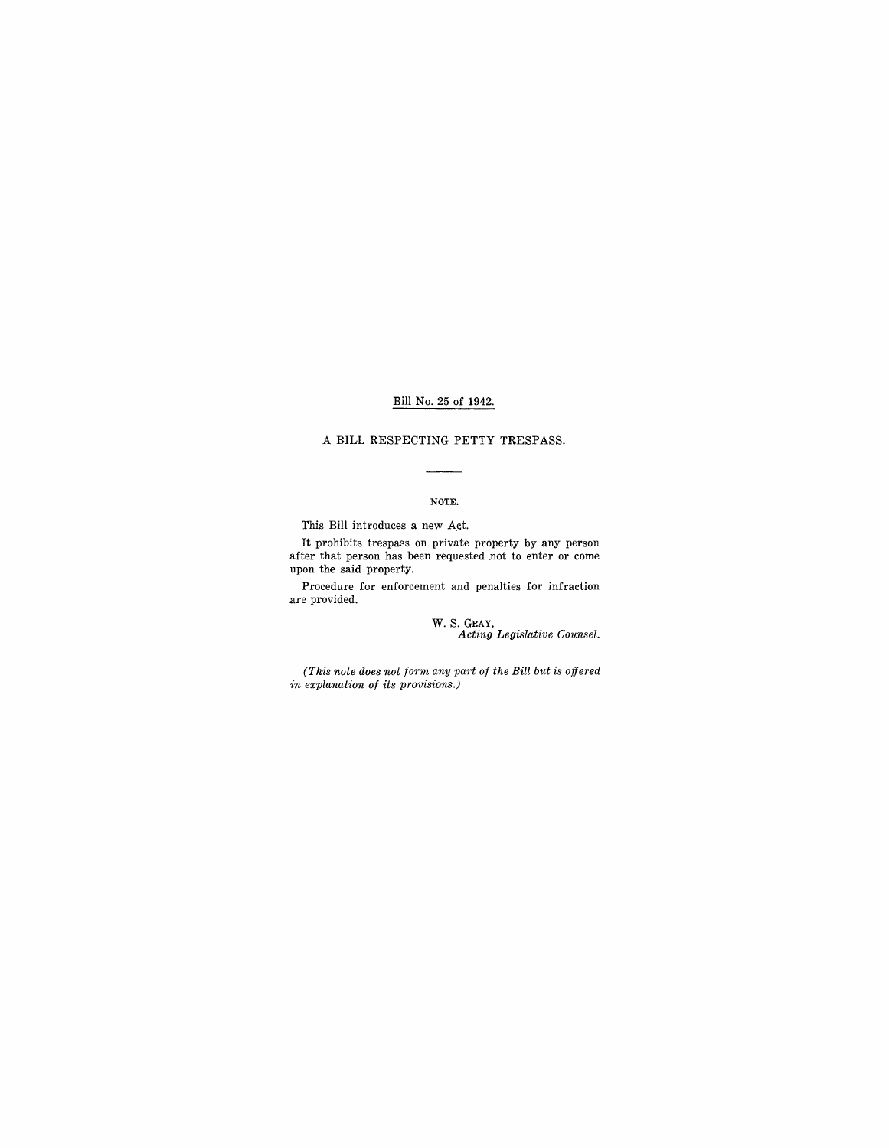## Bill No. 25 of 1942.

### A BILL RESPECTING PETTY TRESPASS.

## NOTE.

 $\overline{\phantom{0}}$ 

This Bill introduces a new Act.

It prohibits trespass on private property by any person after that person has been requested not to enter or come upon the said property.

Procedure for enforcement and penalties for infraction are provided.

w. S. GRAY, *Acting Legislative Counsel.* 

*(This note does not form any part of the Bill but is offered in explanation of its provisions.)*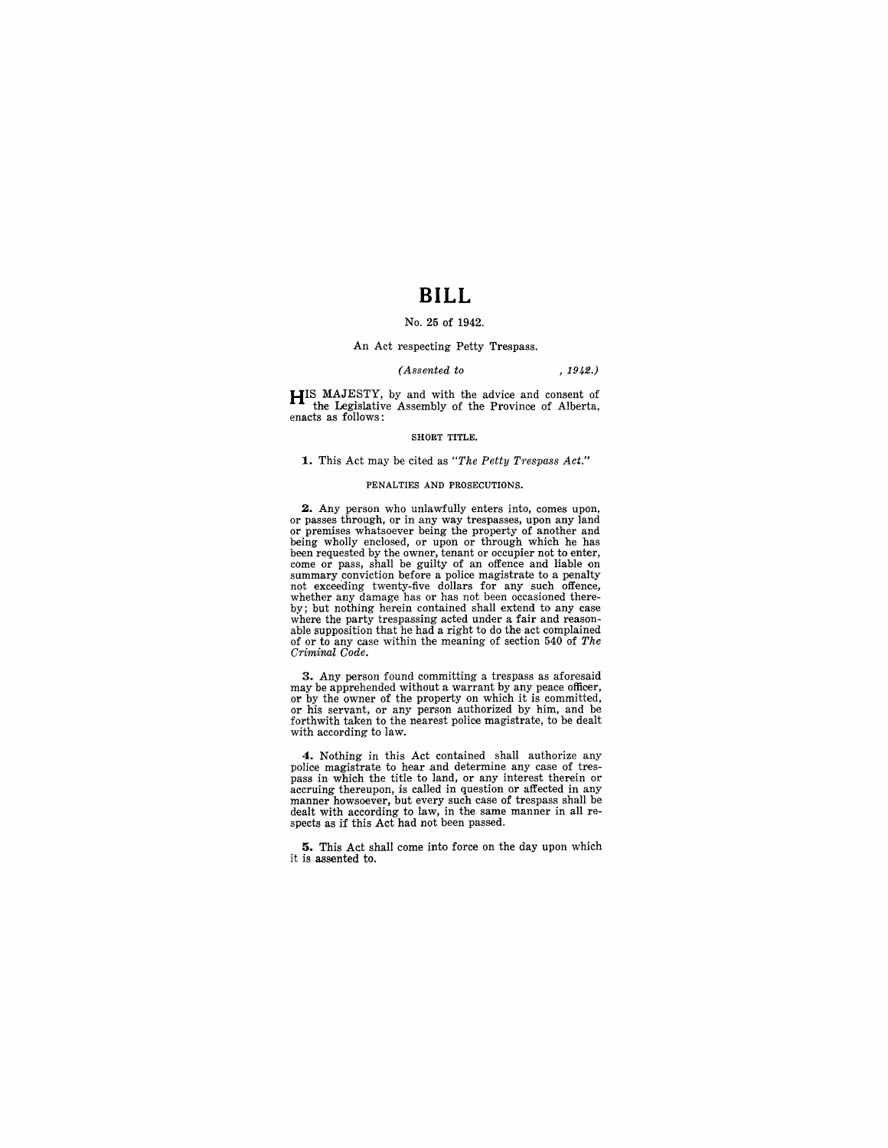## **BILL**

## No. 25 of 1942.

### An Act respecting Petty Trespass.

#### *(Assented to* , 1942.)

**HIS** MAJESTY, by and with the advice and consent of the Legislative Assembly of the Province of Alberta, enacts as follows:

#### SHORT TITLE.

#### **1.** This Act may be cited as "The Petty Trespass Act."

#### PENALTIES AND PROSECUTIONS.

**2.** Any person who unlawfully enters into, comes upon, or passes through, or in any way trespasses, upon any land being wholly enclosed, or upon or through which he has<br>been requested by the owner, tenant or occupier not to enter,<br>come or pass, shall be guilty of an offence and liable on<br>summary conviction before a police magistrate t whether any damage has or has not been occasioned there-<br>by; but nothing herein contained shall extend to any case by; but nothing herein contained shall extend to any case<br>where the party trespassing acted under a fair and reason-<br>able supposition that he had a right to do the act complained<br>of or to any case within the meaning of se

3. Any person found committing a trespass as aforesaid may be apprehended without a warrant by any peace officer,<br>or by the owner of the property on which it is committed,<br>or his servant, or any person authorized by him, and be<br>forthwith taken to the nearest police magistrate, with according to law.

**4.** Nothing in this Act contained shall authorize any police magistrate to hear and determine any case of trespass in which the title to land, or any interest to land, or affected in any manner howsoever, but every such case of trespass shall be dealt with according to law, in the same manner in all respects as if this Act had not been passed.

**5.** This Act shall come into force on the day upon which it is assented to.